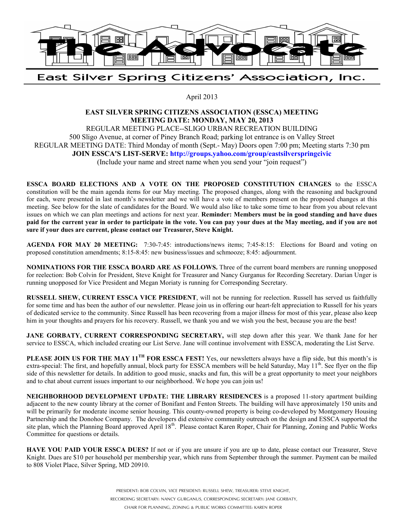

## East Silver Spring Citizens' Association, Inc.

April 2013

## **EAST SILVER SPRING CITIZENS ASSOCIATION (ESSCA) MEETING MEETING DATE: MONDAY, MAY 20, 2013**

REGULAR MEETING PLACE--SLIGO URBAN RECREATION BUILDING 500 Sligo Avenue, at corner of Piney Branch Road; parking lot entrance is on Valley Street REGULAR MEETING DATE: Third Monday of month (Sept.- May) Doors open 7:00 pm; Meeting starts 7:30 pm **JOIN ESSCA'S LIST-SERVE: http://groups.yahoo.com/group/eastsilverspringcivic** (Include your name and street name when you send your "join request")

**ESSCA BOARD ELECTIONS AND A VOTE ON THE PROPOSED CONSTITUTION CHANGES** to the ESSCA constitution will be the main agenda items for our May meeting. The proposed changes, along with the reasoning and background for each, were presented in last month's newsletter and we will have a vote of members present on the proposed changes at this meeting. See below for the slate of candidates for the Board. We would also like to take some time to hear from you about relevant issues on which we can plan meetings and actions for next year. **Reminder: Members must be in good standing and have dues paid for the current year in order to participate in the vote. You can pay your dues at the May meeting, and if you are not sure if your dues are current, please contact our Treasurer, Steve Knight.**

**AGENDA FOR MAY 20 MEETING:** 7:30-7:45: introductions/news items; 7:45-8:15: Elections for Board and voting on proposed constitution amendments; 8:15-8:45: new business/issues and schmooze; 8:45: adjournment.

**NOMINATIONS FOR THE ESSCA BOARD ARE AS FOLLOWS.** Three of the current board members are running unopposed for reelection: Bob Colvin for President, Steve Knight for Treasurer and Nancy Gurganus for Recording Secretary. Darian Unger is running unopposed for Vice President and Megan Moriaty is running for Corresponding Secretary.

**RUSSELL SHEW, CURRENT ESSCA VICE PRESIDENT**, will not be running for reelection. Russell has served us faithfully for some time and has been the author of our newsletter. Please join us in offering our heart-felt appreciation to Russell for his years of dedicated service to the community. Since Russell has been recovering from a major illness for most of this year, please also keep him in your thoughts and prayers for his recovery. Russell, we thank you and we wish you the best, because you are the best!

**JANE GORBATY, CURRENT CORRESPONDING SECRETARY,** will step down after this year. We thank Jane for her service to ESSCA, which included creating our List Serve. Jane will continue involvement with ESSCA, moderating the List Serve.

**PLEASE JOIN US FOR THE MAY 11TH FOR ESSCA FEST!** Yes, our newsletters always have a flip side, but this month's is extra-special: The first, and hopefully annual, block party for ESSCA members will be held Saturday, May 11<sup>th</sup>. See flyer on the flip side of this newsletter for details. In addition to good music, snacks and fun, this will be a great opportunity to meet your neighbors and to chat about current issues important to our neighborhood. We hope you can join us!

**NEIGHBORHOOD DEVELOPMENT UPDATE: THE LIBRARY RESIDENCES** is a proposed 11-story apartment building adjacent to the new county library at the corner of Bonifant and Fenton Streets. The building will have approximately 150 units and will be primarily for moderate income senior housing. This county-owned property is being co-developed by Montgomery Housing Partnership and the Donohoe Company. The developers did extensive community outreach on the design and ESSCA supported the site plan, which the Planning Board approved April 18<sup>th</sup>. Please contact Karen Roper, Chair for Planning, Zoning and Public Works Committee for questions or details.

**HAVE YOU PAID YOUR ESSCA DUES?** If not or if you are unsure if you are up to date, please contact our Treasurer, Steve Knight. Dues are \$10 per household per membership year, which runs from September through the summer. Payment can be mailed to 808 Violet Place, Silver Spring, MD 20910.

> PRESIDENT: BOB COLVIN, VICE PRESIDENT: RUSSELL SHEW, TREASURER: STEVE KNIGHT, RECORDING SECRETARY: NANCY GURGANUS, CORRESPONDING SECRETARY: JANE GORBATY,

CHAIR FOR PLANNING, ZONING & PUBLIC WORKS COMMITTEE: KAREN ROPER